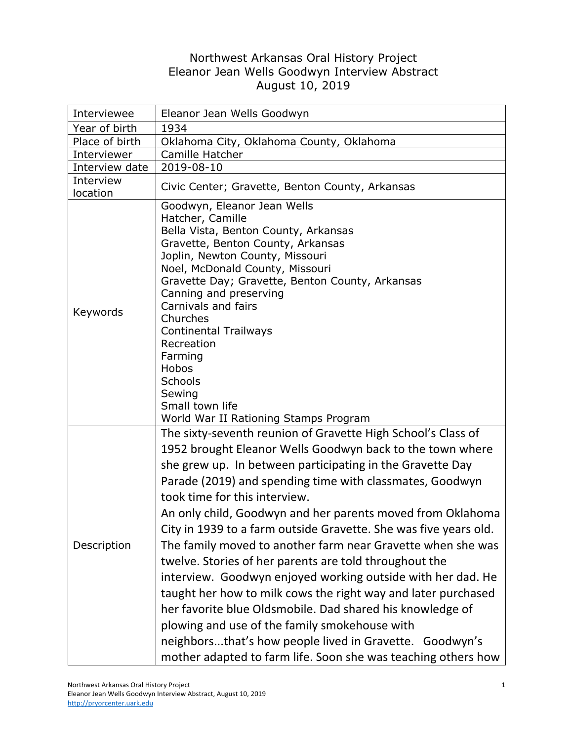## Northwest Arkansas Oral History Project Eleanor Jean Wells Goodwyn Interview Abstract August 10, 2019

| Interviewee           | Eleanor Jean Wells Goodwyn                                                                                                                                                                                                                                                                                                                                                                                                                                                                                                                                                                                                                                                                                                                                                                                                                                                                                               |
|-----------------------|--------------------------------------------------------------------------------------------------------------------------------------------------------------------------------------------------------------------------------------------------------------------------------------------------------------------------------------------------------------------------------------------------------------------------------------------------------------------------------------------------------------------------------------------------------------------------------------------------------------------------------------------------------------------------------------------------------------------------------------------------------------------------------------------------------------------------------------------------------------------------------------------------------------------------|
| Year of birth         | 1934                                                                                                                                                                                                                                                                                                                                                                                                                                                                                                                                                                                                                                                                                                                                                                                                                                                                                                                     |
| Place of birth        | Oklahoma City, Oklahoma County, Oklahoma                                                                                                                                                                                                                                                                                                                                                                                                                                                                                                                                                                                                                                                                                                                                                                                                                                                                                 |
| Interviewer           | Camille Hatcher                                                                                                                                                                                                                                                                                                                                                                                                                                                                                                                                                                                                                                                                                                                                                                                                                                                                                                          |
| Interview date        | 2019-08-10                                                                                                                                                                                                                                                                                                                                                                                                                                                                                                                                                                                                                                                                                                                                                                                                                                                                                                               |
| Interview<br>location | Civic Center; Gravette, Benton County, Arkansas                                                                                                                                                                                                                                                                                                                                                                                                                                                                                                                                                                                                                                                                                                                                                                                                                                                                          |
| Keywords              | Goodwyn, Eleanor Jean Wells<br>Hatcher, Camille<br>Bella Vista, Benton County, Arkansas<br>Gravette, Benton County, Arkansas<br>Joplin, Newton County, Missouri<br>Noel, McDonald County, Missouri<br>Gravette Day; Gravette, Benton County, Arkansas<br>Canning and preserving<br>Carnivals and fairs<br>Churches<br><b>Continental Trailways</b><br>Recreation<br>Farming<br>Hobos<br>Schools<br>Sewing<br>Small town life<br>World War II Rationing Stamps Program                                                                                                                                                                                                                                                                                                                                                                                                                                                    |
| Description           | The sixty-seventh reunion of Gravette High School's Class of<br>1952 brought Eleanor Wells Goodwyn back to the town where<br>she grew up. In between participating in the Gravette Day<br>Parade (2019) and spending time with classmates, Goodwyn<br>took time for this interview.<br>An only child, Goodwyn and her parents moved from Oklahoma<br>City in 1939 to a farm outside Gravette. She was five years old.<br>The family moved to another farm near Gravette when she was<br>twelve. Stories of her parents are told throughout the<br>interview. Goodwyn enjoyed working outside with her dad. He<br>taught her how to milk cows the right way and later purchased<br>her favorite blue Oldsmobile. Dad shared his knowledge of<br>plowing and use of the family smokehouse with<br>neighborsthat's how people lived in Gravette. Goodwyn's<br>mother adapted to farm life. Soon she was teaching others how |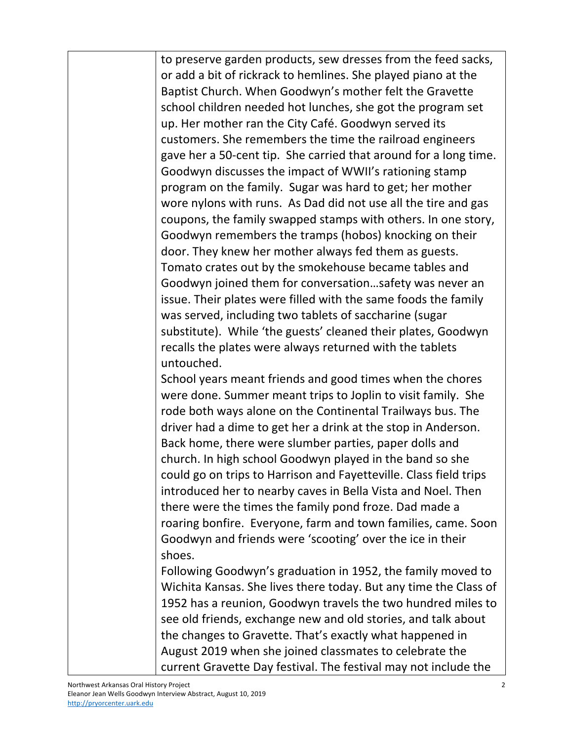| to preserve garden products, sew dresses from the feed sacks,<br>or add a bit of rickrack to hemlines. She played piano at the<br>Baptist Church. When Goodwyn's mother felt the Gravette<br>school children needed hot lunches, she got the program set<br>up. Her mother ran the City Café. Goodwyn served its<br>customers. She remembers the time the railroad engineers<br>gave her a 50-cent tip. She carried that around for a long time.<br>Goodwyn discusses the impact of WWII's rationing stamp<br>program on the family. Sugar was hard to get; her mother<br>wore nylons with runs. As Dad did not use all the tire and gas<br>coupons, the family swapped stamps with others. In one story,<br>Goodwyn remembers the tramps (hobos) knocking on their<br>door. They knew her mother always fed them as guests.<br>Tomato crates out by the smokehouse became tables and<br>Goodwyn joined them for conversationsafety was never an<br>issue. Their plates were filled with the same foods the family<br>was served, including two tablets of saccharine (sugar |
|------------------------------------------------------------------------------------------------------------------------------------------------------------------------------------------------------------------------------------------------------------------------------------------------------------------------------------------------------------------------------------------------------------------------------------------------------------------------------------------------------------------------------------------------------------------------------------------------------------------------------------------------------------------------------------------------------------------------------------------------------------------------------------------------------------------------------------------------------------------------------------------------------------------------------------------------------------------------------------------------------------------------------------------------------------------------------|
| substitute). While 'the guests' cleaned their plates, Goodwyn                                                                                                                                                                                                                                                                                                                                                                                                                                                                                                                                                                                                                                                                                                                                                                                                                                                                                                                                                                                                                |
| recalls the plates were always returned with the tablets                                                                                                                                                                                                                                                                                                                                                                                                                                                                                                                                                                                                                                                                                                                                                                                                                                                                                                                                                                                                                     |
| untouched.                                                                                                                                                                                                                                                                                                                                                                                                                                                                                                                                                                                                                                                                                                                                                                                                                                                                                                                                                                                                                                                                   |
| School years meant friends and good times when the chores<br>were done. Summer meant trips to Joplin to visit family. She                                                                                                                                                                                                                                                                                                                                                                                                                                                                                                                                                                                                                                                                                                                                                                                                                                                                                                                                                    |
| rode both ways alone on the Continental Trailways bus. The                                                                                                                                                                                                                                                                                                                                                                                                                                                                                                                                                                                                                                                                                                                                                                                                                                                                                                                                                                                                                   |
| driver had a dime to get her a drink at the stop in Anderson.                                                                                                                                                                                                                                                                                                                                                                                                                                                                                                                                                                                                                                                                                                                                                                                                                                                                                                                                                                                                                |
| Back home, there were slumber parties, paper dolls and                                                                                                                                                                                                                                                                                                                                                                                                                                                                                                                                                                                                                                                                                                                                                                                                                                                                                                                                                                                                                       |
| church. In high school Goodwyn played in the band so she                                                                                                                                                                                                                                                                                                                                                                                                                                                                                                                                                                                                                                                                                                                                                                                                                                                                                                                                                                                                                     |
| could go on trips to Harrison and Fayetteville. Class field trips                                                                                                                                                                                                                                                                                                                                                                                                                                                                                                                                                                                                                                                                                                                                                                                                                                                                                                                                                                                                            |
| introduced her to nearby caves in Bella Vista and Noel. Then                                                                                                                                                                                                                                                                                                                                                                                                                                                                                                                                                                                                                                                                                                                                                                                                                                                                                                                                                                                                                 |
| there were the times the family pond froze. Dad made a                                                                                                                                                                                                                                                                                                                                                                                                                                                                                                                                                                                                                                                                                                                                                                                                                                                                                                                                                                                                                       |
| roaring bonfire. Everyone, farm and town families, came. Soon<br>Goodwyn and friends were 'scooting' over the ice in their                                                                                                                                                                                                                                                                                                                                                                                                                                                                                                                                                                                                                                                                                                                                                                                                                                                                                                                                                   |
| shoes.                                                                                                                                                                                                                                                                                                                                                                                                                                                                                                                                                                                                                                                                                                                                                                                                                                                                                                                                                                                                                                                                       |
| Following Goodwyn's graduation in 1952, the family moved to                                                                                                                                                                                                                                                                                                                                                                                                                                                                                                                                                                                                                                                                                                                                                                                                                                                                                                                                                                                                                  |
| Wichita Kansas. She lives there today. But any time the Class of<br>1952 has a reunion, Goodwyn travels the two hundred miles to                                                                                                                                                                                                                                                                                                                                                                                                                                                                                                                                                                                                                                                                                                                                                                                                                                                                                                                                             |
| see old friends, exchange new and old stories, and talk about                                                                                                                                                                                                                                                                                                                                                                                                                                                                                                                                                                                                                                                                                                                                                                                                                                                                                                                                                                                                                |
| the changes to Gravette. That's exactly what happened in                                                                                                                                                                                                                                                                                                                                                                                                                                                                                                                                                                                                                                                                                                                                                                                                                                                                                                                                                                                                                     |
| August 2019 when she joined classmates to celebrate the<br>current Gravette Day festival. The festival may not include the                                                                                                                                                                                                                                                                                                                                                                                                                                                                                                                                                                                                                                                                                                                                                                                                                                                                                                                                                   |